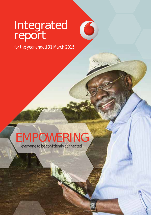# Integrated report

for the year ended 31 March 2015

 $\bullet$ 

# EMPOWERING everyone to be confidently connected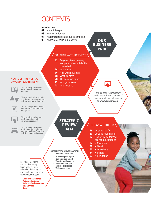# **CONTENTS**

#### **Introduction**

- **02** About this report
- **03** How we performed
- **04** What matters most to our stakeholders
- **06** What's material in our markets

**OUR BUSINESS PG 08**

#### **12** 20 years of empowering everyone to be confidently connected

- **14** Who we are
- **16** How we do business

08 CHAIRMAN'S STATEMENT

- 
- 18 What we offer<br>**20** The value we o
- **20** The value we create<br>**22** Who governs us **22** Who governs us
- **23** Who leads us

### HOW TO GET THE MOST OUT OF OUR INTEGRATED REPORT:



This icon tells you where you can find related information in our report.



These icons will help you quickly spot the areas where we are doing well and where we can improve.



This icon tells you that a term is explained in the Glossary starting on page 130.



This icon tells you where you can find more information on **www.vodacom.com**



This icon tells you where you can find more information on our parent Vodafone Group Plc's website at **www.vodafone.com**

## **STRATEGIC REVIEW**

#### **SUPPLEMENTARY INFORMATION AVAILABLE ONLINE**

- **Human capital report**
- **Communities report**
- Transformation report<br>• Environment report
- **Environment report • Stakeholder report**
- **Technology report**

### 24 Q&A WITH THE CEO

For a list of all the regulatory developments in our countries of operation, go to our online report on **www.vodacom.com**

- **28** What we live for<br>**30** What we're aimin
- **30** What we're aiming for
- **32** How we've performed
- against our strategies
- **32** Customer
- **38** Growth
	- **50** Operations
- **54** People
- **57** Reputation

For video interviews with our leadership team on key issues related to delivering on our growth strategy, go to **www.vodacom.com**

- **Customer experience**
- **Vodacom Business**
- **Vodacom Business Africa • New Services**
- **Data**